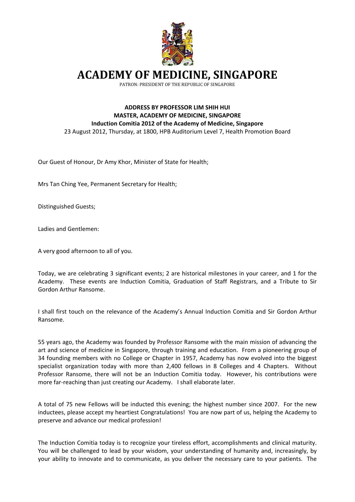

**ACADEMY OF MEDICINE, SINGAPORE**

PATRON: PRESIDENT OF THE REPUBLIC OF SINGAPORE

## **ADDRESS BY PROFESSOR LIM SHIH HUI MASTER, ACADEMY OF MEDICINE, SINGAPORE Induction Comitia 2012 of the Academy of Medicine, Singapore** 23 August 2012, Thursday, at 1800, HPB Auditorium Level 7, Health Promotion Board

Our Guest of Honour, Dr Amy Khor, Minister of State for Health;

Mrs Tan Ching Yee, Permanent Secretary for Health;

Distinguished Guests;

Ladies and Gentlemen:

A very good afternoon to all of you.

Today, we are celebrating 3 significant events; 2 are historical milestones in your career, and 1 for the Academy. These events are Induction Comitia, Graduation of Staff Registrars, and a Tribute to Sir Gordon Arthur Ransome.

I shall first touch on the relevance of the Academy's Annual Induction Comitia and Sir Gordon Arthur Ransome.

55 years ago, the Academy was founded by Professor Ransome with the main mission of advancing the art and science of medicine in Singapore, through training and education. From a pioneering group of 34 founding members with no College or Chapter in 1957, Academy has now evolved into the biggest specialist organization today with more than 2,400 fellows in 8 Colleges and 4 Chapters. Without Professor Ransome, there will not be an Induction Comitia today. However, his contributions were more far-reaching than just creating our Academy. I shall elaborate later.

A total of 75 new Fellows will be inducted this evening; the highest number since 2007. For the new inductees, please accept my heartiest Congratulations! You are now part of us, helping the Academy to preserve and advance our medical profession!

The Induction Comitia today is to recognize your tireless effort, accomplishments and clinical maturity. You will be challenged to lead by your wisdom, your understanding of humanity and, increasingly, by your ability to innovate and to communicate, as you deliver the necessary care to your patients. The